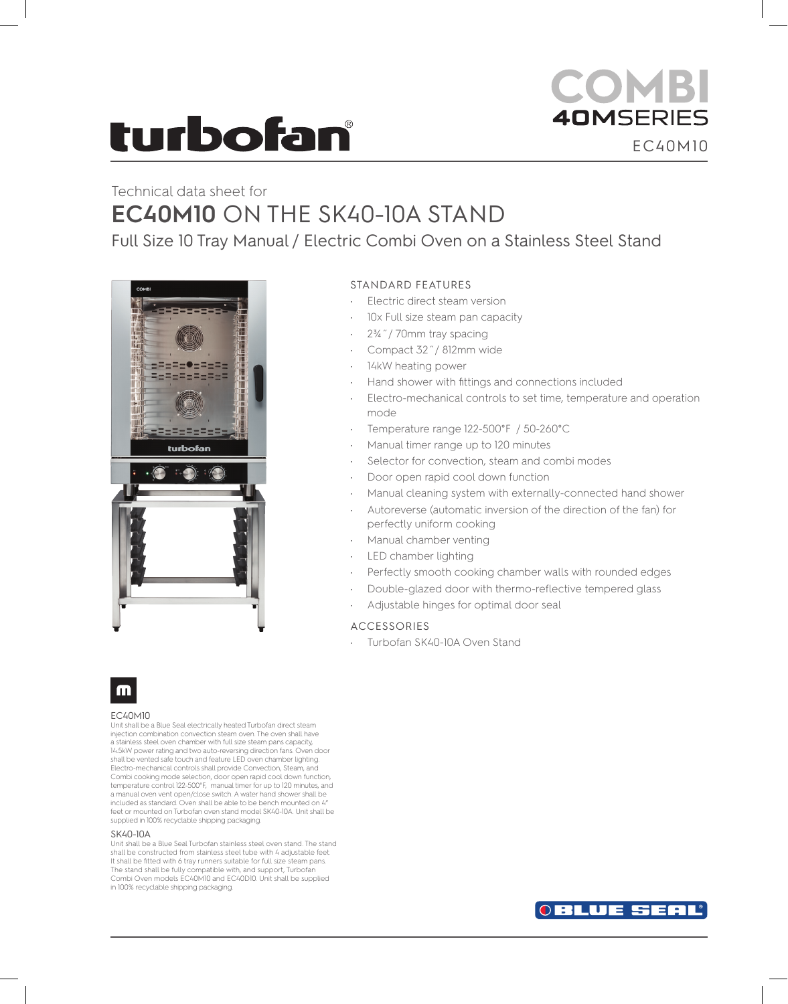# turbofan

### **COMBI 40MSERIES** EC40M10

### Technical data sheet for **EC40M10** ON THE SK40-10A STAND

Full Size 10 Tray Manual / Electric Combi Oven on a Stainless Steel Stand



#### STANDARD FEATURES

- Electric direct steam version
- 10x Full size steam pan capacity
- 2¾˝/ 70mm tray spacing
- Compact 32˝/ 812mm wide
- 14kW heating power
- Hand shower with fittings and connections included
- Electro-mechanical controls to set time, temperature and operation mode
- Temperature range 122-500°F / 50-260°C
- Manual timer range up to 120 minutes
- Selector for convection, steam and combi modes
- Door open rapid cool down function
- Manual cleaning system with externally-connected hand shower
- Autoreverse (automatic inversion of the direction of the fan) for perfectly uniform cooking
- Manual chamber venting
- LED chamber lighting
- Perfectly smooth cooking chamber walls with rounded edges
- Double-glazed door with thermo-reflective tempered glass
- Adjustable hinges for optimal door seal

#### ACCESSORIES

Turbofan SK40-10A Oven Stand



#### EC40M10

Unit shall be a Blue Seal electrically heated Turbofan direct steam injection combination convection steam oven. The oven shall have a stainless steel oven chamber with full size steam pans capacity, 14.5kW power rating and two auto-reversing direction fans. Oven door shall be vented safe touch and feature LED oven chamber lighting. Electro-mechanical controls shall provide Convection, Steam, and Combi cooking mode selection, door open rapid cool down function, temperature control 122-500°F, manual timer for up to 120 minutes, and a manual oven vent open/close switch. A water hand shower shall be included as standard. Oven shall be able to be bench mounted on 4" feet or mounted on Turbofan oven stand model SK40-10A. Unit shall be supplied in 100% recyclable shipping packaging.

#### SK40-10A

Unit shall be a Blue Seal Turbofan stainless steel oven stand. The stand shall be constructed from stainless steel tube with 4 adjustable feet. It shall be fitted with 6 tray runners suitable for full size steam pans. The stand shall be fully compatible with, and support, Turbofan Combi Oven models EC40M10 and EC40D10. Unit shall be supplied in 100% recyclable shipping packaging.